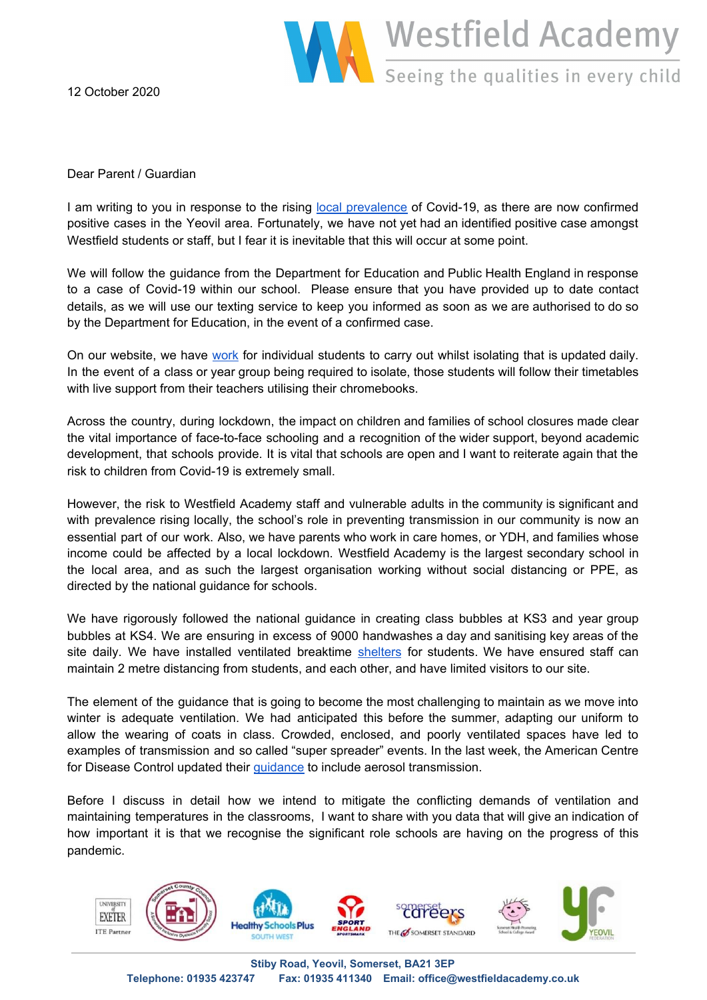

12 October 2020

Dear Parent / Guardian

I am writing to you in response to the rising local [prevalence](https://docs.google.com/presentation/d/e/2PACX-1vR7BrFmQN4HDeidZhLgKJag5PYw3HMOl-9r3yjCwkx9obpb2YEvGyqnxI6U4RCIeKyptd6vR7xjycUI/pub?start=true&loop=true&delayms=2000) of Covid-19, as there are now confirmed positive cases in the Yeovil area. Fortunately, we have not yet had an identified positive case amongst Westfield students or staff, but I fear it is inevitable that this will occur at some point.

We will follow the guidance from the Department for Education and Public Health England in response to a case of Covid-19 within our school. Please ensure that you have provided up to date contact details, as we will use our texting service to keep you informed as soon as we are authorised to do so by the Department for Education, in the event of a confirmed case.

On our website, we have [work](https://docs.google.com/presentation/d/e/2PACX-1vQAIM6joWvPilO2tS7SmWVzWO1qa0amBdxN0_aBQ8yYSD_zoxJFxhoIzI--8Gogp-W0u79SGnOnVWIa/pub?start=false&loop=false&delayms=3000&slide=id.p) for individual students to carry out whilst isolating that is updated daily. In the event of a class or year group being required to isolate, those students will follow their timetables with live support from their teachers utilising their chromebooks.

Across the country, during lockdown, the impact on children and families of school closures made clear the vital importance of face-to-face schooling and a recognition of the wider support, beyond academic development, that schools provide. It is vital that schools are open and I want to reiterate again that the risk to children from Covid-19 is extremely small.

However, the risk to Westfield Academy staff and vulnerable adults in the community is significant and with prevalence rising locally, the school's role in preventing transmission in our community is now an essential part of our work. Also, we have parents who work in care homes, or YDH, and families whose income could be affected by a local lockdown. Westfield Academy is the largest secondary school in the local area, and as such the largest organisation working without social distancing or PPE, as directed by the national guidance for schools.

We have rigorously followed the national guidance in creating class bubbles at KS3 and year group bubbles at KS4. We are ensuring in excess of 9000 handwashes a day and sanitising key areas of the site daily. We have installed ventilated breaktime [shelters](https://docs.google.com/presentation/d/e/2PACX-1vRC236gTrImD3fZ3Ub7lBT_P-uv3_b4-mReMFMGdOQLD9KRpH9RGDyjy_CJAD5dDg2MJscANh7LlG66/pub?start=false&loop=false&delayms=60000) for students. We have ensured staff can maintain 2 metre distancing from students, and each other, and have limited visitors to our site.

The element of the guidance that is going to become the most challenging to maintain as we move into winter is adequate ventilation. We had anticipated this before the summer, adapting our uniform to allow the wearing of coats in class. Crowded, enclosed, and poorly ventilated spaces have led to examples of transmission and so called "super spreader" events. In the last week, the American Centre for Disease Control updated their [guidance](https://www.cdc.gov/coronavirus/2019-ncov/more/scientific-brief-sars-cov-2.html) to include aerosol transmission.

Before I discuss in detail how we intend to mitigate the conflicting demands of ventilation and maintaining temperatures in the classrooms, I want to share with you data that will give an indication of how important it is that we recognise the significant role schools are having on the progress of this pandemic.

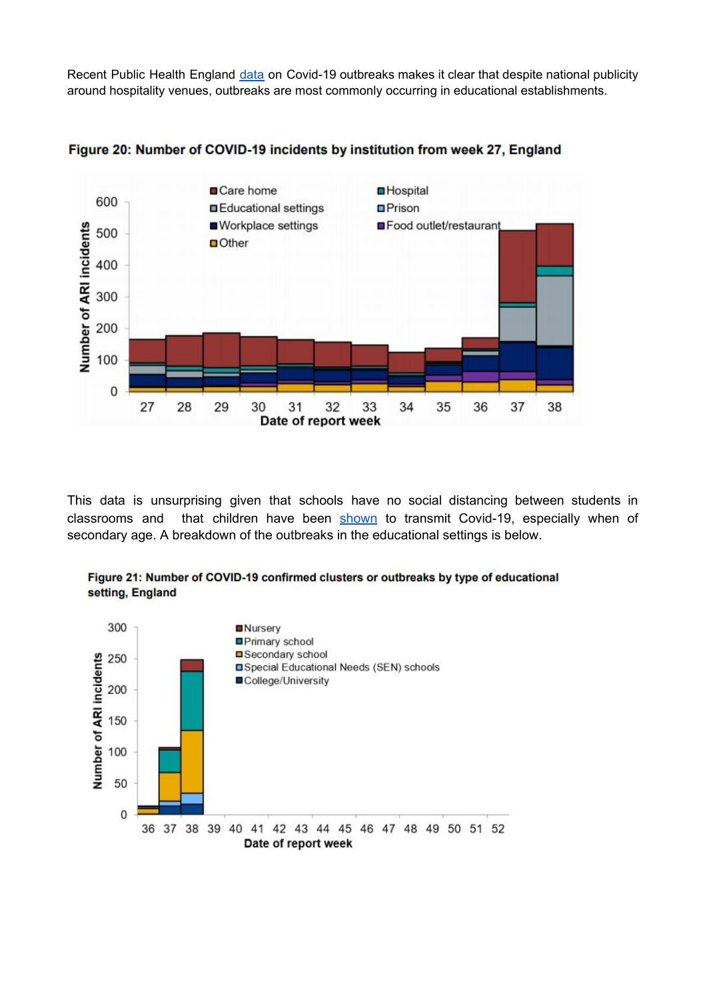Recent Public Health England [data](https://assets.publishing.service.gov.uk/government/uploads/system/uploads/attachment_data/file/921561/Weekly_COVID19_Surveillance_Report_week_39_FINAL.pdf) on Covid-19 outbreaks makes it clear that despite national publicity around hospitality venues, outbreaks are most commonly occurring in educational establishments.



Figure 20: Number of COVID-19 incidents by institution from week 27, England

This data is unsurprising given that schools have no social distancing between students in classrooms and that children have been [shown](https://wwwnc.cdc.gov/eid/article/26/10/20-1315_article) to transmit Covid-19, especially when of secondary age. A breakdown of the outbreaks in the educational settings is below.



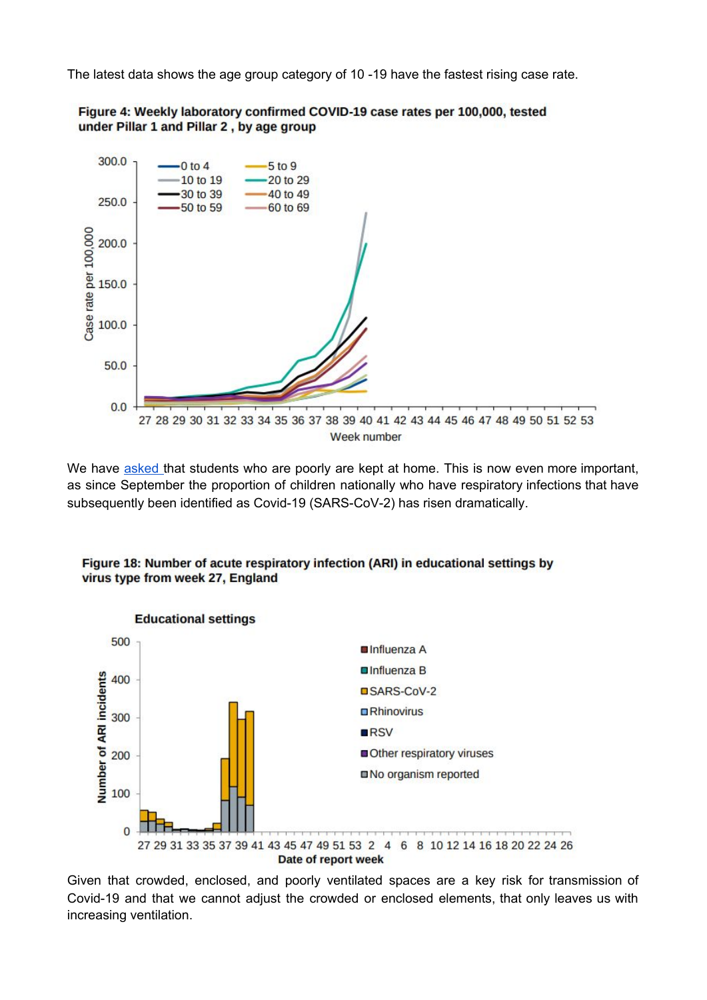The latest data shows the age group category of 10 -19 have the fastest rising case rate.



We have [asked](https://www.westfieldacademy.co.uk/SiteAssets/Files/Letters%20Home/Letter%20to%20Parents%2022.09.2020.pdf) that students who are poorly are kept at home. This is now even more important, as since September the proportion of children nationally who have respiratory infections that have subsequently been identified as Covid-19 (SARS-CoV-2) has risen dramatically.



Figure 18: Number of acute respiratory infection (ARI) in educational settings by virus type from week 27, England

Given that crowded, enclosed, and poorly ventilated spaces are a key risk for transmission of Covid-19 and that we cannot adjust the crowded or enclosed elements, that only leaves us with increasing ventilation.